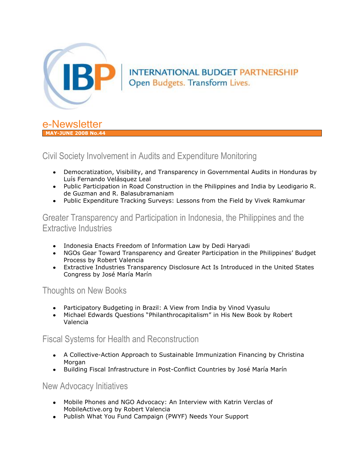

# INTERNATIONAL BUDGET PARTNERSHIP Open Budgets. Transform Lives.



## Civil Society Involvement in Audits and Expenditure Monitoring

- Democratization, Visibility, and Transparency in Governmental Audits in Honduras by Luís Fernando Velásquez Leal
- Public Participation in Road Construction in the Philippines and India by Leodigario R. de Guzman and R. Balasubramaniam
- Public Expenditure Tracking Surveys: Lessons from the Field by Vivek Ramkumar

## Greater Transparency and Participation in Indonesia, the Philippines and the Extractive Industries

- Indonesia Enacts Freedom of Information Law by Dedi Haryadi
- NGOs Gear Toward Transparency and Greater Participation in the Philippines' Budget Process by Robert Valencia
- Extractive Industries Transparency Disclosure Act Is Introduced in the United States Congress by José María Marín

## Thoughts on New Books

- Participatory Budgeting in Brazil: A View from India by Vinod Vyasulu
- Michael Edwards Questions "Philanthrocapitalism" in His New Book by Robert Valencia

## Fiscal Systems for Health and Reconstruction

- A Collective-Action Approach to Sustainable Immunization Financing by Christina **Morgan**
- Building Fiscal Infrastructure in Post-Conflict Countries by José María Marín

### New Advocacy Initiatives

- Mobile Phones and NGO Advocacy: An Interview with Katrin Verclas of MobileActive.org by Robert Valencia
- Publish What You Fund Campaign (PWYF) Needs Your Support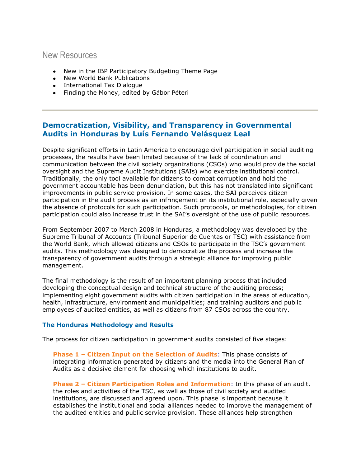### New Resources

- New in the IBP Participatory Budgeting Theme Page
- New World Bank Publications
- International Tax Dialogue
- Finding the Money, edited by Gábor Péteri

### **Democratization, Visibility, and Transparency in Governmental Audits in Honduras by Luís Fernando Velásquez Leal**

Despite significant efforts in Latin America to encourage civil participation in social auditing processes, the results have been limited because of the lack of coordination and communication between the civil society organizations (CSOs) who would provide the social oversight and the Supreme Audit Institutions (SAIs) who exercise institutional control. Traditionally, the only tool available for citizens to combat corruption and hold the government accountable has been denunciation, but this has not translated into significant improvements in public service provision. In some cases, the SAI perceives citizen participation in the audit process as an infringement on its institutional role, especially given the absence of protocols for such participation. Such protocols, or methodologies, for citizen participation could also increase trust in the SAI's oversight of the use of public resources. Ĩ

From September 2007 to March 2008 in Honduras, a methodology was developed by the Supreme Tribunal of Accounts (Tribunal Superior de Cuentas or TSC) with assistance from the World Bank, which allowed citizens and CSOs to participate in the TSC"s government audits. This methodology was designed to democratize the process and increase the transparency of government audits through a strategic alliance for improving public management.

The final methodology is the result of an important planning process that included developing the conceptual design and technical structure of the auditing process; implementing eight government audits with citizen participation in the areas of education, health, infrastructure, environment and municipalities; and training auditors and public employees of audited entities, as well as citizens from 87 CSOs across the country.

#### **The Honduras Methodology and Results**

The process for citizen participation in government audits consisted of five stages:

**Phase 1 – Citizen Input on the Selection of Audits**: This phase consists of integrating information generated by citizens and the media into the General Plan of Audits as a decisive element for choosing which institutions to audit.

**Phase 2 – Citizen Participation Roles and Information**: In this phase of an audit, the roles and activities of the TSC, as well as those of civil society and audited institutions, are discussed and agreed upon. This phase is important because it establishes the institutional and social alliances needed to improve the management of the audited entities and public service provision. These alliances help strengthen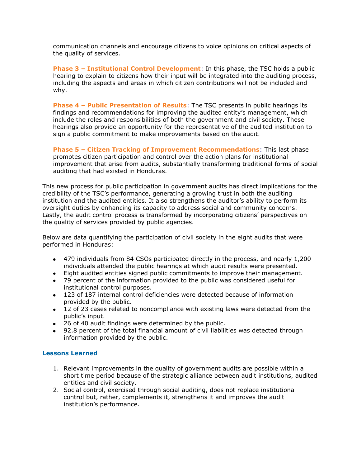communication channels and encourage citizens to voice opinions on critical aspects of the quality of services.

**Phase 3 – Institutional Control Development**: In this phase, the TSC holds a public hearing to explain to citizens how their input will be integrated into the auditing process, including the aspects and areas in which citizen contributions will not be included and why.

**Phase 4 – Public Presentation of Results**: The TSC presents in public hearings its findings and recommendations for improving the audited entity"s management, which include the roles and responsibilities of both the government and civil society. These hearings also provide an opportunity for the representative of the audited institution to sign a public commitment to make improvements based on the audit.

**Phase 5 – Citizen Tracking of Improvement Recommendations**: This last phase promotes citizen participation and control over the action plans for institutional improvement that arise from audits, substantially transforming traditional forms of social auditing that had existed in Honduras.

This new process for public participation in government audits has direct implications for the credibility of the TSC"s performance, generating a growing trust in both the auditing institution and the audited entities. It also strengthens the auditor"s ability to perform its oversight duties by enhancing its capacity to address social and community concerns. Lastly, the audit control process is transformed by incorporating citizens' perspectives on the quality of services provided by public agencies.

Below are data quantifying the participation of civil society in the eight audits that were performed in Honduras:

- 479 individuals from 84 CSOs participated directly in the process, and nearly 1,200 individuals attended the public hearings at which audit results were presented.
- Eight audited entities signed public commitments to improve their management.
- 79 percent of the information provided to the public was considered useful for institutional control purposes.
- 123 of 187 internal control deficiencies were detected because of information provided by the public.
- 12 of 23 cases related to noncompliance with existing laws were detected from the public"s input.
- 26 of 40 audit findings were determined by the public.  $\bullet$
- 92.8 percent of the total financial amount of civil liabilities was detected through information provided by the public.

#### **Lessons Learned**

- 1. Relevant improvements in the quality of government audits are possible within a short time period because of the strategic alliance between audit institutions, audited entities and civil society.
- 2. Social control, exercised through social auditing, does not replace institutional control but, rather, complements it, strengthens it and improves the audit institution's performance.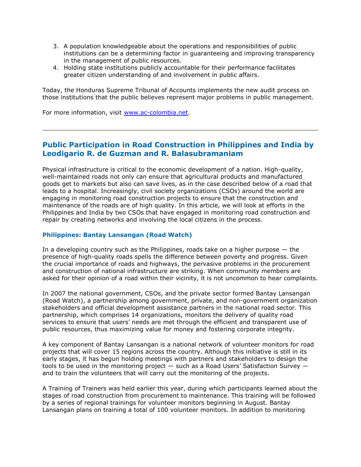- 3. A population knowledgeable about the operations and responsibilities of public institutions can be a determining factor in guaranteeing and improving transparency in the management of public resources.
- 4. Holding state institutions publicly accountable for their performance facilitates greater citizen understanding of and involvement in public affairs.

Today, the Honduras Supreme Tribunal of Accounts implements the new audit process on those institutions that the public believes represent major problems in public management.

For more information, visit [www.ac-colombia.net.](http://www.ac-colombia.net/)

#### **Public Participation in Road Construction in Philippines and India by Leodigario R. de Guzman and R. Balasubramaniam**

Physical infrastructure is critical to the economic development of a nation. High-quality, well-maintained roads not only can ensure that agricultural products and manufactured goods get to markets but also can save lives, as in the case described below of a road that leads to a hospital. Increasingly, civil society organizations (CSOs) around the world are engaging in monitoring road construction projects to ensure that the construction and maintenance of the roads are of high quality. In this article, we will look at efforts in the Philippines and India by two CSOs that have engaged in monitoring road construction and repair by creating networks and involving the local citizens in the process.

#### **Philippines: Bantay Lansangan (Road Watch)**

In a developing country such as the Philippines, roads take on a higher purpose  $-$  the presence of high-quality roads spells the difference between poverty and progress. Given the crucial importance of roads and highways, the pervasive problems in the procurement and construction of national infrastructure are striking. When community members are asked for their opinion of a road within their vicinity, it is not uncommon to hear complaints.

In 2007 the national government, CSOs, and the private sector formed Bantay Lansangan (Road Watch), a partnership among government, private, and non-government organization stakeholders and official development assistance partners in the national road sector. This partnership, which comprises 14 organizations, monitors the delivery of quality road services to ensure that users" needs are met through the efficient and transparent use of public resources, thus maximizing value for money and fostering corporate integrity.

A key component of Bantay Lansangan is a national network of volunteer monitors for road projects that will cover 15 regions across the country. Although this initiative is still in its early stages, it has begun holding meetings with partners and stakeholders to design the tools to be used in the monitoring project  $-$  such as a Road Users' Satisfaction Survey  $$ and to train the volunteers that will carry out the monitoring of the projects.

A Training of Trainers was held earlier this year, during which participants learned about the stages of road construction from procurement to maintenance. This training will be followed by a series of regional trainings for volunteer monitors beginning in August. Bantay Lansangan plans on training a total of 100 volunteer monitors. In addition to monitoring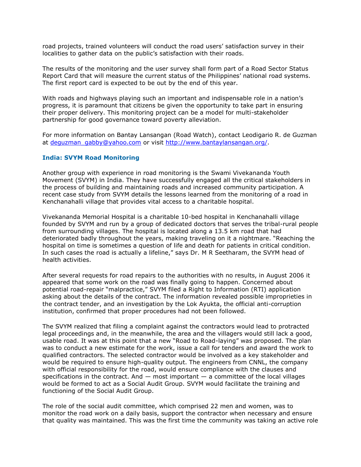road projects, trained volunteers will conduct the road users" satisfaction survey in their localities to gather data on the public's satisfaction with their roads.

The results of the monitoring and the user survey shall form part of a Road Sector Status Report Card that will measure the current status of the Philippines" national road systems. The first report card is expected to be out by the end of this year.

With roads and highways playing such an important and indispensable role in a nation's progress, it is paramount that citizens be given the opportunity to take part in ensuring their proper delivery. This monitoring project can be a model for multi-stakeholder partnership for good governance toward poverty alleviation.

For more information on Bantay Lansangan (Road Watch), contact Leodigario R. de Guzman at [deguzman\\_gabby@yahoo.com](mailto:deguzman_gabby@yahoo.com) or visit [http://www.bantaylansangan.org/.](http://www.bantaylansangan.org/)

#### **India: SVYM Road Monitoring**

Another group with experience in road monitoring is the Swami Vivekananda Youth Movement (SVYM) in India. They have successfully engaged all the critical stakeholders in the process of building and maintaining roads and increased community participation. A recent case study from SVYM details the lessons learned from the monitoring of a road in Kenchanahalli village that provides vital access to a charitable hospital.

Vivekananda Memorial Hospital is a charitable 10-bed hospital in Kenchanahalli village founded by SVYM and run by a group of dedicated doctors that serves the tribal-rural people from surrounding villages. The hospital is located along a 13.5 km road that had deteriorated badly throughout the years, making traveling on it a nightmare. "Reaching the hospital on time is sometimes a question of life and death for patients in critical condition. In such cases the road is actually a lifeline," says Dr. M R Seetharam, the SVYM head of health activities.

After several requests for road repairs to the authorities with no results, in August 2006 it appeared that some work on the road was finally going to happen. Concerned about potential road-repair "malpractice," SVYM filed a Right to Information (RTI) application asking about the details of the contract. The information revealed possible improprieties in the contract tender, and an investigation by the Lok Ayukta, the official anti-corruption institution, confirmed that proper procedures had not been followed.

The SVYM realized that filing a complaint against the contractors would lead to protracted legal proceedings and, in the meanwhile, the area and the villagers would still lack a good, usable road. It was at this point that a new "Road to Road-laying" was proposed. The plan was to conduct a new estimate for the work, issue a call for tenders and award the work to qualified contractors. The selected contractor would be involved as a key stakeholder and would be required to ensure high-quality output. The engineers from CNNL, the company with official responsibility for the road, would ensure compliance with the clauses and specifications in the contract. And  $-$  most important  $-$  a committee of the local villages would be formed to act as a Social Audit Group. SVYM would facilitate the training and functioning of the Social Audit Group.

The role of the social audit committee, which comprised 22 men and women, was to monitor the road work on a daily basis, support the contractor when necessary and ensure that quality was maintained. This was the first time the community was taking an active role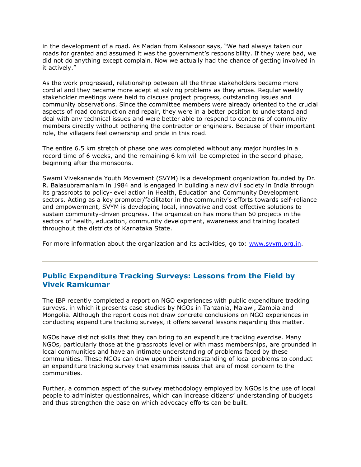in the development of a road. As Madan from Kalasoor says, "We had always taken our roads for granted and assumed it was the government's responsibility. If they were bad, we did not do anything except complain. Now we actually had the chance of getting involved in it actively."

As the work progressed, relationship between all the three stakeholders became more cordial and they became more adept at solving problems as they arose. Regular weekly stakeholder meetings were held to discuss project progress, outstanding issues and community observations. Since the committee members were already oriented to the crucial aspects of road construction and repair, they were in a better position to understand and deal with any technical issues and were better able to respond to concerns of community members directly without bothering the contractor or engineers. Because of their important role, the villagers feel ownership and pride in this road.

The entire 6.5 km stretch of phase one was completed without any major hurdles in a record time of 6 weeks, and the remaining 6 km will be completed in the second phase, beginning after the monsoons.

Swami Vivekananda Youth Movement (SVYM) is a development organization founded by Dr. R. Balasubramaniam in 1984 and is engaged in building a new civil society in India through its grassroots to policy-level action in Health, Education and Community Development sectors. Acting as a key promoter/facilitator in the community's efforts towards self-reliance and empowerment, SVYM is developing local, innovative and cost-effective solutions to sustain community-driven progress. The organization has more than 60 projects in the sectors of health, education, community development, awareness and training located throughout the districts of Karnataka State.

For more information about the organization and its activities, go to: [www.svym.org.in.](http://www.svym.org.in/)

### **Public Expenditure Tracking Surveys: Lessons from the Field by Vivek Ramkumar**

The IBP recently completed a report on NGO experiences with public expenditure tracking surveys, in which it presents case studies by NGOs in Tanzania, Malawi, Zambia and Mongolia. Although the report does not draw concrete conclusions on NGO experiences in conducting expenditure tracking surveys, it offers several lessons regarding this matter.

NGOs have distinct skills that they can bring to an expenditure tracking exercise. Many NGOs, particularly those at the grassroots level or with mass memberships, are grounded in local communities and have an intimate understanding of problems faced by these communities. These NGOs can draw upon their understanding of local problems to conduct an expenditure tracking survey that examines issues that are of most concern to the communities.

Further, a common aspect of the survey methodology employed by NGOs is the use of local people to administer questionnaires, which can increase citizens' understanding of budgets and thus strengthen the base on which advocacy efforts can be built.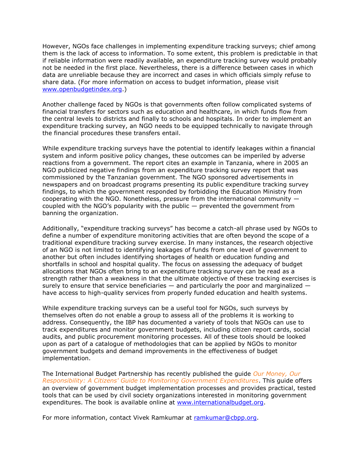However, NGOs face challenges in implementing expenditure tracking surveys; chief among them is the lack of access to information. To some extent, this problem is predictable in that if reliable information were readily available, an expenditure tracking survey would probably not be needed in the first place. Nevertheless, there is a difference between cases in which data are unreliable because they are incorrect and cases in which officials simply refuse to share data. (For more information on access to budget information, please visit [www.openbudgetindex.org.](http://www.openbudgetindex.org/))

Another challenge faced by NGOs is that governments often follow complicated systems of financial transfers for sectors such as education and healthcare, in which funds flow from the central levels to districts and finally to schools and hospitals. In order to implement an expenditure tracking survey, an NGO needs to be equipped technically to navigate through the financial procedures these transfers entail.

While expenditure tracking surveys have the potential to identify leakages within a financial system and inform positive policy changes, these outcomes can be imperiled by adverse reactions from a government. The report cites an example in Tanzania, where in 2005 an NGO publicized negative findings from an expenditure tracking survey report that was commissioned by the Tanzanian government. The NGO sponsored advertisements in newspapers and on broadcast programs presenting its public expenditure tracking survey findings, to which the government responded by forbidding the Education Ministry from cooperating with the NGO. Nonetheless, pressure from the international community coupled with the NGO's popularity with the public  $-$  prevented the government from banning the organization.

Additionally, "expenditure tracking surveys" has become a catch-all phrase used by NGOs to define a number of expenditure monitoring activities that are often beyond the scope of a traditional expenditure tracking survey exercise. In many instances, the research objective of an NGO is not limited to identifying leakages of funds from one level of government to another but often includes identifying shortages of health or education funding and shortfalls in school and hospital quality. The focus on assessing the adequacy of budget allocations that NGOs often bring to an expenditure tracking survey can be read as a strength rather than a weakness in that the ultimate objective of these tracking exercises is surely to ensure that service beneficiaries  $-$  and particularly the poor and marginalized  $$ have access to high-quality services from properly funded education and health systems.

While expenditure tracking surveys can be a useful tool for NGOs, such surveys by themselves often do not enable a group to assess all of the problems it is working to address. Consequently, the IBP has documented a variety of tools that NGOs can use to track expenditures and monitor government budgets, including citizen report cards, social audits, and public procurement monitoring processes. All of these tools should be looked upon as part of a catalogue of methodologies that can be applied by NGOs to monitor government budgets and demand improvements in the effectiveness of budget implementation.

The International Budget Partnership has recently published the guide *Our Money, Our Responsibility: A Citizens' Guide to Monitoring Government Expenditures*. This guide offers an overview of government budget implementation processes and provides practical, tested tools that can be used by civil society organizations interested in monitoring government expenditures. The book is available online at [www.internationalbudget.org.](http://www.internationalbudget.org/)

For more information, contact Vivek Ramkumar at [ramkumar@cbpp.org.](mailto:ramkumar@cbpp.org)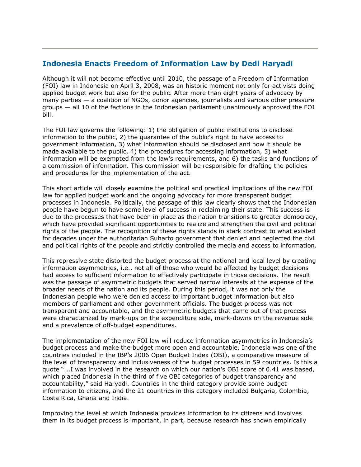### **Indonesia Enacts Freedom of Information Law by Dedi Haryadi**

Although it will not become effective until 2010, the passage of a Freedom of Information (FOI) law in Indonesia on April 3, 2008, was an historic moment not only for activists doing applied budget work but also for the public. After more than eight years of advocacy by many parties — a coalition of NGOs, donor agencies, journalists and various other pressure groups — all 10 of the factions in the Indonesian parliament unanimously approved the FOI bill.

The FOI law governs the following: 1) the obligation of public institutions to disclose information to the public, 2) the guarantee of the public"s right to have access to government information, 3) what information should be disclosed and how it should be made available to the public, 4) the procedures for accessing information, 5) what information will be exempted from the law's requirements, and 6) the tasks and functions of a commission of information. This commission will be responsible for drafting the policies and procedures for the implementation of the act.

This short article will closely examine the political and practical implications of the new FOI law for applied budget work and the ongoing advocacy for more transparent budget processes in Indonesia. Politically, the passage of this law clearly shows that the Indonesian people have begun to have some level of success in reclaiming their state. This success is due to the processes that have been in place as the nation transitions to greater democracy, which have provided significant opportunities to realize and strengthen the civil and political rights of the people. The recognition of these rights stands in stark contrast to what existed for decades under the authoritarian Suharto government that denied and neglected the civil and political rights of the people and strictly controlled the media and access to information.

This repressive state distorted the budget process at the national and local level by creating information asymmetries, i.e., not all of those who would be affected by budget decisions had access to sufficient information to effectively participate in those decisions. The result was the passage of asymmetric budgets that served narrow interests at the expense of the broader needs of the nation and its people. During this period, it was not only the Indonesian people who were denied access to important budget information but also members of parliament and other government officials. The budget process was not transparent and accountable, and the asymmetric budgets that came out of that process were characterized by mark-ups on the expenditure side, mark-downs on the revenue side and a prevalence of off-budget expenditures.

The implementation of the new FOI law will reduce information asymmetries in Indonesia"s budget process and make the budget more open and accountable. Indonesia was one of the countries included in the IBP"s 2006 Open Budget Index (OBI), a comparative measure of the level of transparency and inclusiveness of the budget processes in 59 countries. Is this a quote "...I was involved in the research on which our nation"s OBI score of 0.41 was based, which placed Indonesia in the third of five OBI categories of budget transparency and accountability," said Haryadi. Countries in the third category provide some budget information to citizens, and the 21 countries in this category included Bulgaria, Colombia, Costa Rica, Ghana and India.

Improving the level at which Indonesia provides information to its citizens and involves them in its budget process is important, in part, because research has shown empirically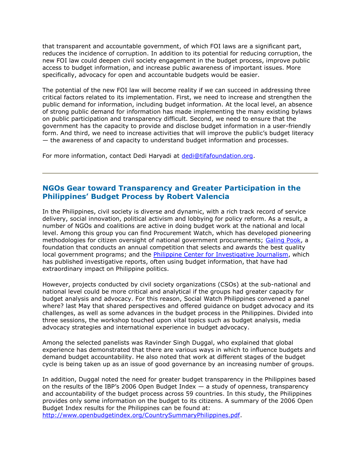that transparent and accountable government, of which FOI laws are a significant part, reduces the incidence of corruption. In addition to its potential for reducing corruption, the new FOI law could deepen civil society engagement in the budget process, improve public access to budget information, and increase public awareness of important issues. More specifically, advocacy for open and accountable budgets would be easier.

The potential of the new FOI law will become reality if we can succeed in addressing three critical factors related to its implementation. First, we need to increase and strengthen the public demand for information, including budget information. At the local level, an absence of strong public demand for information has made implementing the many existing bylaws on public participation and transparency difficult. Second, we need to ensure that the government has the capacity to provide and disclose budget information in a user-friendly form. And third, we need to increase activities that will improve the public's budget literacy — the awareness of and capacity to understand budget information and processes.

For more information, contact Dedi Haryadi at [dedi@tifafoundation.org.](mailto:dedi@tifafoundation.org)

#### **NGOs Gear toward Transparency and Greater Participation in the Philippines' Budget Process by Robert Valencia**

In the Philippines, civil society is diverse and dynamic, with a rich track record of service delivery, social innovation, political activism and lobbying for policy reform. As a result, a number of NGOs and coalitions are active in doing budget work at the national and local level. Among this group you can find Procurement Watch, which has developed pioneering methodologies for citizen oversight of national government procurements; [Galing Pook,](http://www.galingpook.org/) a foundation that conducts an annual competition that selects and awards the best quality local government programs; and the [Philippine Center for Investigative Journalism,](http://www.pcij.org/) which has published investigative reports, often using budget information, that have had extraordinary impact on Philippine politics.

However, projects conducted by civil society organizations (CSOs) at the sub-national and national level could be more critical and analytical if the groups had greater capacity for budget analysis and advocacy. For this reason, Social Watch Philippines convened a panel where? last May that shared perspectives and offered guidance on budget advocacy and its challenges, as well as some advances in the budget process in the Philippines. Divided into three sessions, the workshop touched upon vital topics such as budget analysis, media advocacy strategies and international experience in budget advocacy.

Among the selected panelists was Ravinder Singh Duggal, who explained that global experience has demonstrated that there are various ways in which to influence budgets and demand budget accountability. He also noted that work at different stages of the budget cycle is being taken up as an issue of good governance by an increasing number of groups.

In addition, Duggal noted the need for greater budget transparency in the Philippines based on the results of the IBP's 2006 Open Budget Index  $-$  a study of openness, transparency and accountability of the budget process across 59 countries. In this study, the Philippines provides only some information on the budget to its citizens. A summary of the 2006 Open Budget Index results for the Philippines can be found at:

[http://www.openbudgetindex.org/CountrySummaryPhilippines.pdf.](http://www.openbudgetindex.org/CountrySummaryPhilippines.pdf)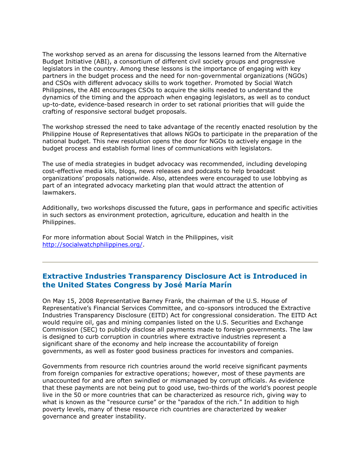The workshop served as an arena for discussing the lessons learned from the Alternative Budget Initiative (ABI), a consortium of different civil society groups and progressive legislators in the country. Among these lessons is the importance of engaging with key partners in the budget process and the need for non-governmental organizations (NGOs) and CSOs with different advocacy skills to work together. Promoted by Social Watch Philippines, the ABI encourages CSOs to acquire the skills needed to understand the dynamics of the timing and the approach when engaging legislators, as well as to conduct up-to-date, evidence-based research in order to set rational priorities that will guide the crafting of responsive sectoral budget proposals.

The workshop stressed the need to take advantage of the recently enacted resolution by the Philippine House of Representatives that allows NGOs to participate in the preparation of the national budget. This new resolution opens the door for NGOs to actively engage in the budget process and establish formal lines of communications with legislators.

The use of media strategies in budget advocacy was recommended, including developing cost-effective media kits, blogs, news releases and podcasts to help broadcast organizations' proposals nationwide. Also, attendees were encouraged to use lobbying as part of an integrated advocacy marketing plan that would attract the attention of lawmakers.

Additionally, two workshops discussed the future, gaps in performance and specific activities in such sectors as environment protection, agriculture, education and health in the Philippines.

For more information about Social Watch in the Philippines, visit [http://socialwatchphilippines.org/.](http://socialwatchphilippines.org/)

### **Extractive Industries Transparency Disclosure Act is Introduced in the United States Congress by José María Marín**

On May 15, 2008 Representative Barney Frank, the chairman of the U.S. House of Representative"s Financial Services Committee, and co-sponsors introduced the Extractive Industries Transparency Disclosure (EITD) Act for congressional consideration. The EITD Act would require oil, gas and mining companies listed on the U.S. Securities and Exchange Commission (SEC) to publicly disclose all payments made to foreign governments. The law is designed to curb corruption in countries where extractive industries represent a significant share of the economy and help increase the accountability of foreign governments, as well as foster good business practices for investors and companies. Ĩ

Governments from resource rich countries around the world receive significant payments from foreign companies for extractive operations; however, most of these payments are unaccounted for and are often swindled or mismanaged by corrupt officials. As evidence that these payments are not being put to good use, two-thirds of the world"s poorest people live in the 50 or more countries that can be characterized as resource rich, giving way to what is known as the "resource curse" or the "paradox of the rich." In addition to high poverty levels, many of these resource rich countries are characterized by weaker governance and greater instability.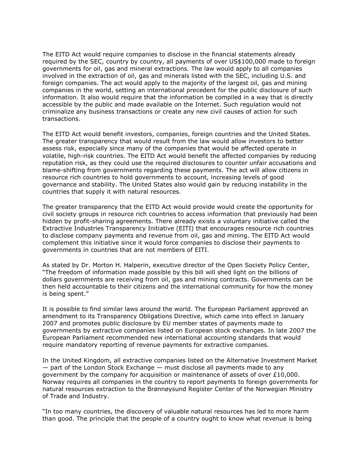The EITD Act would require companies to disclose in the financial statements already required by the SEC, country by country, all payments of over US\$100,000 made to foreign governments for oil, gas and mineral extractions. The law would apply to all companies involved in the extraction of oil, gas and minerals listed with the SEC, including U.S. and foreign companies. The act would apply to the majority of the largest oil, gas and mining companies in the world, setting an international precedent for the public disclosure of such information. It also would require that the information be compiled in a way that is directly accessible by the public and made available on the Internet. Such regulation would not criminalize any business transactions or create any new civil causes of action for such transactions.

The EITD Act would benefit investors, companies, foreign countries and the United States. The greater transparency that would result from the law would allow investors to better assess risk, especially since many of the companies that would be affected operate in volatile, high-risk countries. The EITD Act would benefit the affected companies by reducing reputation risk, as they could use the required disclosures to counter unfair accusations and blame-shifting from governments regarding these payments. The act will allow citizens in resource rich countries to hold governments to account, increasing levels of good governance and stability. The United States also would gain by reducing instability in the countries that supply it with natural resources.

The greater transparency that the EITD Act would provide would create the opportunity for civil society groups in resource rich countries to access information that previously had been hidden by profit-sharing agreements. There already exists a voluntary initiative called the Extractive Industries Transparency Initiative (EITI) that encourages resource rich countries to disclose company payments and revenue from oil, gas and mining. The EITD Act would complement this initiative since it would force companies to disclose their payments to governments in countries that are not members of EITI.

As stated by Dr. Morton H. Halperin, executive director of the Open Society Policy Center, "The freedom of information made possible by this bill will shed light on the billions of dollars governments are receiving from oil, gas and mining contracts. Governments can be then held accountable to their citizens and the international community for how the money is being spent."

It is possible to find similar laws around the world. The European Parliament approved an amendment to its Transparency Obligations Directive, which came into effect in January 2007 and promotes public disclosure by EU member states of payments made to governments by extractive companies listed on European stock exchanges. In late 2007 the European Parliament recommended new international accounting standards that would require mandatory reporting of revenue payments for extractive companies.

In the United Kingdom, all extractive companies listed on the Alternative Investment Market — part of the London Stock Exchange — must disclose all payments made to any government by the company for acquisition or maintenance of assets of over £10,000. Norway requires all companies in the country to report payments to foreign governments for natural resources extraction to the Brønnøysund Register Center of the Norwegian Ministry of Trade and Industry.

"In too many countries, the discovery of valuable natural resources has led to more harm than good. The principle that the people of a country ought to know what revenue is being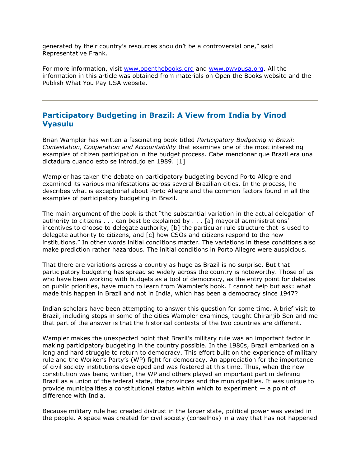generated by their country"s resources shouldn"t be a controversial one," said Representative Frank.

For more information, visit [www.openthebooks.org](http://www.openthebooks.org/) and [www.pwypusa.org.](http://www.pwypusa.org/) All the information in this article was obtained from materials on Open the Books website and the Publish What You Pay USA website.

### **Participatory Budgeting in Brazil: A View from India by Vinod Vyasulu**

Brian Wampler has written a fascinating book titled *Participatory Budgeting in Brazil: Contestation, Cooperation and Accountability* that examines one of the most interesting examples of citizen participation in the budget process. Cabe mencionar que Brazil era una dictadura cuando esto se introdujo en 1989. [1]

Wampler has taken the debate on participatory budgeting beyond Porto Allegre and examined its various manifestations across several Brazilian cities. In the process, he describes what is exceptional about Porto Allegre and the common factors found in all the examples of participatory budgeting in Brazil.

The main argument of the book is that "the substantial variation in the actual delegation of authority to citizens  $\dots$  can best be explained by  $\dots$  [a] mayoral administrations' incentives to choose to delegate authority, [b] the particular rule structure that is used to delegate authority to citizens, and [c] how CSOs and citizens respond to the new institutions." In other words initial conditions matter. The variations in these conditions also make prediction rather hazardous. The initial conditions in Porto Allegre were auspicious.

That there are variations across a country as huge as Brazil is no surprise. But that participatory budgeting has spread so widely across the country is noteworthy. Those of us who have been working with budgets as a tool of democracy, as the entry point for debates on public priorities, have much to learn from Wampler"s book. I cannot help but ask: what made this happen in Brazil and not in India, which has been a democracy since 1947?

Indian scholars have been attempting to answer this question for some time. A brief visit to Brazil, including stops in some of the cities Wampler examines, taught Chiranjib Sen and me that part of the answer is that the historical contexts of the two countries are different.

Wampler makes the unexpected point that Brazil"s military rule was an important factor in making participatory budgeting in the country possible. In the 1980s, Brazil embarked on a long and hard struggle to return to democracy. This effort built on the experience of military rule and the Worker's Party's (WP) fight for democracy. An appreciation for the importance of civil society institutions developed and was fostered at this time. Thus, when the new constitution was being written, the WP and others played an important part in defining Brazil as a union of the federal state, the provinces and the municipalities. It was unique to provide municipalities a constitutional status within which to experiment  $-$  a point of difference with India.

Because military rule had created distrust in the larger state, political power was vested in the people. A space was created for civil society (conselhos) in a way that has not happened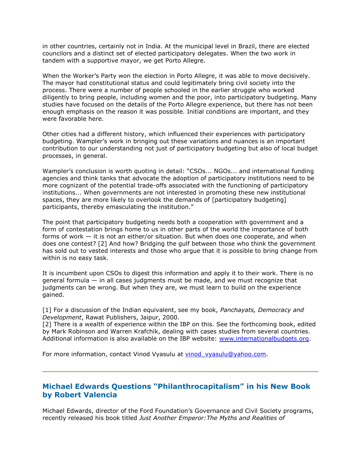in other countries, certainly not in India. At the municipal level in Brazil, there are elected councilors and a distinct set of elected participatory delegates. When the two work in tandem with a supportive mayor, we get Porto Allegre.

When the Worker"s Party won the election in Porto Allegre, it was able to move decisively. The mayor had constitutional status and could legitimately bring civil society into the process. There were a number of people schooled in the earlier struggle who worked diligently to bring people, including women and the poor, into participatory budgeting. Many studies have focused on the details of the Porto Allegre experience, but there has not been enough emphasis on the reason it was possible. Initial conditions are important, and they were favorable here.

Other cities had a different history, which influenced their experiences with participatory budgeting. Wampler"s work in bringing out these variations and nuances is an important contribution to our understanding not just of participatory budgeting but also of local budget processes, in general.

Wampler's conclusion is worth quoting in detail: "CSOs... NGOs... and international funding agencies and think tanks that advocate the adoption of participatory institutions need to be more cognizant of the potential trade-offs associated with the functioning of participatory institutions... When governments are not interested in promoting these new institutional spaces, they are more likely to overlook the demands of [participatory budgeting] participants, thereby emasculating the institution."

The point that participatory budgeting needs both a cooperation with government and a form of contestation brings home to us in other parts of the world the importance of both forms of work — it is not an either/or situation. But when does one cooperate, and when does one contest? [2] And how? Bridging the gulf between those who think the government has sold out to vested interests and those who argue that it is possible to bring change from within is no easy task.

It is incumbent upon CSOs to digest this information and apply it to their work. There is no general formula — in all cases judgments must be made, and we must recognize that judgments can be wrong. But when they are, we must learn to build on the experience gained.

[1] For a discussion of the Indian equivalent, see my book, *Panchayats, Democracy and Development*, Rawat Publishers, Jaipur, 2000.

[2] There is a wealth of experience within the IBP on this. See the forthcoming book, edited by Mark Robinson and Warren Krafchik, dealing with cases studies from several countries. Additional information is also available on the IBP website: [www.internationalbudgets.org.](http://www.internationalbudgets.org/)

For more information, contact Vinod Vyasulu at vinod vyasulu@yahoo.com.

Ĩ

### **Michael Edwards Questions "Philanthrocapitalism" in his New Book by Robert Valencia**

Michael Edwards, director of the Ford Foundation"s Governance and Civil Society programs, recently released his book titled *Just Another Emperor:The Myths and Realities of*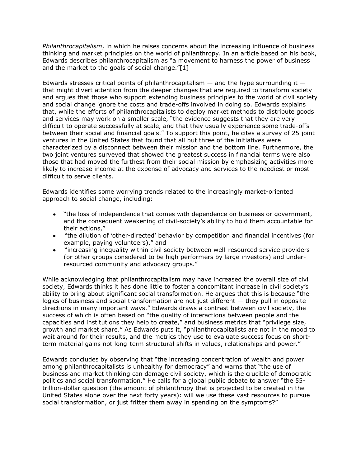*Philanthrocapitalism*, in which he raises concerns about the increasing influence of business thinking and market principles on the world of philanthropy. In an article based on his book, Edwards describes philanthrocapitalism as "a movement to harness the power of business and the market to the goals of social change."[1]

Edwards stresses critical points of philanthrocapitalism  $-$  and the hype surrounding it  $$ that might divert attention from the deeper changes that are required to transform society and argues that those who support extending business principles to the world of civil society and social change ignore the costs and trade-offs involved in doing so. Edwards explains that, while the efforts of philanthrocapitalists to deploy market methods to distribute goods and services may work on a smaller scale, "the evidence suggests that they are very difficult to operate successfully at scale, and that they usually experience some trade-offs between their social and financial goals." To support this point, he cites a survey of 25 joint ventures in the United States that found that all but three of the initiatives were characterized by a disconnect between their mission and the bottom line. Furthermore, the two joint ventures surveyed that showed the greatest success in financial terms were also those that had moved the furthest from their social mission by emphasizing activities more likely to increase income at the expense of advocacy and services to the neediest or most difficult to serve clients.

Edwards identifies some worrying trends related to the increasingly market-oriented approach to social change, including:

- "the loss of independence that comes with dependence on business or government,  $\bullet$ and the consequent weakening of civil-society"s ability to hold them accountable for their actions,"
- "the dilution of "other-directed" behavior by competition and financial incentives (for  $\bullet$ example, paying volunteers)," and
- "increasing inequality within civil society between well-resourced service providers (or other groups considered to be high performers by large investors) and underresourced community and advocacy groups."

While acknowledging that philanthrocapitalism may have increased the overall size of civil society, Edwards thinks it has done little to foster a concomitant increase in civil society's ability to bring about significant social transformation. He argues that this is because "the logics of business and social transformation are not just different — they pull in opposite directions in many important ways." Edwards draws a contrast between civil society, the success of which is often based on "the quality of interactions between people and the capacities and institutions they help to create," and business metrics that "privilege size, growth and market share." As Edwards puts it, "philanthrocapitalists are not in the mood to wait around for their results, and the metrics they use to evaluate success focus on shortterm material gains not long-term structural shifts in values, relationships and power."

Edwards concludes by observing that "the increasing concentration of wealth and power among philanthrocapitalists is unhealthy for democracy" and warns that "the use of business and market thinking can damage civil society, which is the crucible of democratic politics and social transformation." He calls for a global public debate to answer "the 55 trillion-dollar question (the amount of philanthropy that is projected to be created in the United States alone over the next forty years): will we use these vast resources to pursue social transformation, or just fritter them away in spending on the symptoms?"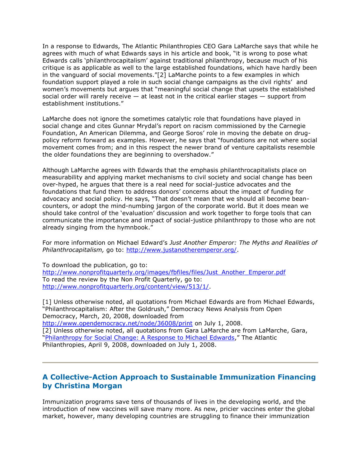In a response to Edwards, The Atlantic Philanthropies CEO Gara LaMarche says that while he agrees with much of what Edwards says in his article and book, "it is wrong to pose what Edwards calls "philanthrocapitalism" against traditional philanthropy, because much of his critique is as applicable as well to the large established foundations, which have hardly been in the vanguard of social movements."[2] LaMarche points to a few examples in which foundation support played a role in such social change campaigns as the civil rights" and women"s movements but argues that "meaningful social change that upsets the established social order will rarely receive — at least not in the critical earlier stages — support from establishment institutions."

LaMarche does not ignore the sometimes catalytic role that foundations have played in social change and cites Gunnar Mrydal"s report on racism commissioned by the Carnegie Foundation, An American Dilemma, and George Soros' role in moving the debate on drugpolicy reform forward as examples. However, he says that "foundations are not where social movement comes from; and in this respect the newer brand of venture capitalists resemble the older foundations they are beginning to overshadow."

Although LaMarche agrees with Edwards that the emphasis philanthrocapitalists place on measurability and applying market mechanisms to civil society and social change has been over-hyped, he argues that there is a real need for social-justice advocates and the foundations that fund them to address donors" concerns about the impact of funding for advocacy and social policy. He says, "That doesn"t mean that we should all become beancounters, or adopt the mind-numbing jargon of the corporate world. But it does mean we should take control of the "evaluation" discussion and work together to forge tools that can communicate the importance and impact of social-justice philanthropy to those who are not already singing from the hymnbook."

For more information on Michael Edward"s *Just Another Emperor: The Myths and Realities of*  Philanthrocapitalism, go to: [http://www.justanotheremperor.org/.](http://www.justanotheremperor.org/)

To download the publication, go to: [http://www.nonprofitquarterly.org/images/fbfiles/files/Just\\_Another\\_Emperor.pdf](http://www.nonprofitquarterly.org/images/fbfiles/files/Just_Another_Emperor.pdf) To read the review by the Non Profit Quarterly, go to: [http://www.nonprofitquarterly.org/content/view/513/1/.](http://www.nonprofitquarterly.org/content/view/513/1/)

[1] Unless otherwise noted, all quotations from Michael Edwards are from Michael Edwards, "Philanthrocapitalism: After the Goldrush," Democracy News Analysis from Open Democracy, March, 20, 2008, downloaded from <http://www.opendemocracy.net/node/36008/print>on July 1, 2008. [2] Unless otherwise noted, all quotations from Gara LaMarche are from LaMarche, Gara, "[Philanthropy for Social Change: A Response to Michael Edwards](http://atlanticphilanthropies.org/news/news/philanthropy_for_social_change_a_response_to_michael_edwards)," The Atlantic Philanthropies, April 9, 2008, downloaded on July 1, 2008.

### **A Collective-Action Approach to Sustainable Immunization Financing by Christina Morgan**

Immunization programs save tens of thousands of lives in the developing world, and the introduction of new vaccines will save many more. As new, pricier vaccines enter the global market, however, many developing countries are struggling to finance their immunization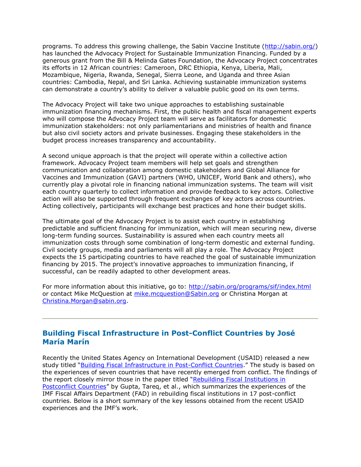programs. To address this growing challenge, the Sabin Vaccine Institute [\(http://sabin.org/\)](http://sabin.org/) has launched the Advocacy Project for Sustainable Immunization Financing. Funded by a generous grant from the Bill & Melinda Gates Foundation, the Advocacy Project concentrates its efforts in 12 African countries: Cameroon, DRC Ethiopia, Kenya, Liberia, Mali, Mozambique, Nigeria, Rwanda, Senegal, Sierra Leone, and Uganda and three Asian countries: Cambodia, Nepal, and Sri Lanka. Achieving sustainable immunization systems can demonstrate a country"s ability to deliver a valuable public good on its own terms.

The Advocacy Project will take two unique approaches to establishing sustainable immunization financing mechanisms. First, the public health and fiscal management experts who will compose the Advocacy Project team will serve as facilitators for domestic immunization stakeholders: not only parliamentarians and ministries of health and finance but also civil society actors and private businesses. Engaging these stakeholders in the budget process increases transparency and accountability.

A second unique approach is that the project will operate within a collective action framework. Advocacy Project team members will help set goals and strengthen communication and collaboration among domestic stakeholders and Global Alliance for Vaccines and Immunization (GAVI) partners (WHO, UNICEF, World Bank and others), who currently play a pivotal role in financing national immunization systems. The team will visit each country quarterly to collect information and provide feedback to key actors. Collective action will also be supported through frequent exchanges of key actors across countries. Acting collectively, participants will exchange best practices and hone their budget skills.

The ultimate goal of the Advocacy Project is to assist each country in establishing predictable and sufficient financing for immunization, which will mean securing new, diverse long-term funding sources. Sustainability is assured when each country meets all immunization costs through some combination of long-term domestic and external funding. Civil society groups, media and parliaments will all play a role. The Advocacy Project expects the 15 participating countries to have reached the goal of sustainable immunization financing by 2015. The project"s innovative approaches to immunization financing, if successful, can be readily adapted to other development areas.

For more information about this initiative, go to:<http://sabin.org/programs/sif/index.html> or contact Mike McQuestion at [mike.mcquestion@Sabin.org](mailto:mike.mcquestion@Sabin.org) or Christina Morgan at [Christina.Morgan@sabin.org.](mailto:Christina.Morgan@sabin.org)

### **Building Fiscal Infrastructure in Post-Conflict Countries by José María Marín**

Recently the United States Agency on International Development (USAID) released a new study titled "[Building Fiscal Infrastructure in Post-Conflict Countries.](http://www.fiscalreform.net/index.php?option=com_content&task=view&id=702&Itemid=1)" The study is based on the experiences of seven countries that have recently emerged from conflict. The findings of the report closely mirror those in the paper titled "[Rebuilding Fiscal Institutions in](http://www.imf.org/External/np/fad/2005/022505.pdf)  [Postconflict Countries](http://www.imf.org/External/np/fad/2005/022505.pdf)" by Gupta, Tareq, et al., which summarizes the experiences of the IMF Fiscal Affairs Department (FAD) in rebuilding fiscal institutions in 17 post-conflict countries. Below is a short summary of the key lessons obtained from the recent USAID experiences and the IMF's work.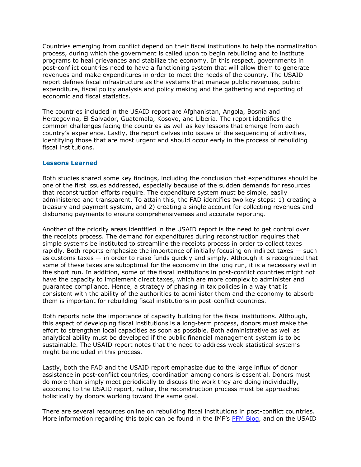Countries emerging from conflict depend on their fiscal institutions to help the normalization process, during which the government is called upon to begin rebuilding and to institute programs to heal grievances and stabilize the economy. In this respect, governments in post-conflict countries need to have a functioning system that will allow them to generate revenues and make expenditures in order to meet the needs of the country. The USAID report defines fiscal infrastructure as the systems that manage public revenues, public expenditure, fiscal policy analysis and policy making and the gathering and reporting of economic and fiscal statistics.

The countries included in the USAID report are Afghanistan, Angola, Bosnia and Herzegovina, El Salvador, Guatemala, Kosovo, and Liberia. The report identifies the common challenges facing the countries as well as key lessons that emerge from each country's experience. Lastly, the report delves into issues of the sequencing of activities, identifying those that are most urgent and should occur early in the process of rebuilding fiscal institutions.

#### **Lessons Learned**

Both studies shared some key findings, including the conclusion that expenditures should be one of the first issues addressed, especially because of the sudden demands for resources that reconstruction efforts require. The expenditure system must be simple, easily administered and transparent. To attain this, the FAD identifies two key steps: 1) creating a treasury and payment system, and 2) creating a single account for collecting revenues and disbursing payments to ensure comprehensiveness and accurate reporting.

Another of the priority areas identified in the USAID report is the need to get control over the receipts process. The demand for expenditures during reconstruction requires that simple systems be instituted to streamline the receipts process in order to collect taxes rapidly. Both reports emphasize the importance of initially focusing on indirect taxes – such as customs taxes — in order to raise funds quickly and simply. Although it is recognized that some of these taxes are suboptimal for the economy in the long run, it is a necessary evil in the short run. In addition, some of the fiscal institutions in post-conflict countries might not have the capacity to implement direct taxes, which are more complex to administer and guarantee compliance. Hence, a strategy of phasing in tax policies in a way that is consistent with the ability of the authorities to administer them and the economy to absorb them is important for rebuilding fiscal institutions in post-conflict countries.

Both reports note the importance of capacity building for the fiscal institutions. Although, this aspect of developing fiscal institutions is a long-term process, donors must make the effort to strengthen local capacities as soon as possible. Both administrative as well as analytical ability must be developed if the public financial management system is to be sustainable. The USAID report notes that the need to address weak statistical systems might be included in this process.

Lastly, both the FAD and the USAID report emphasize due to the large influx of donor assistance in post-conflict countries, coordination among donors is essential. Donors must do more than simply meet periodically to discuss the work they are doing individually, according to the USAID report, rather, the reconstruction process must be approached holistically by donors working toward the same goal.

There are several resources online on rebuilding fiscal institutions in post-conflict countries. More information regarding this topic can be found in the IMF's [PFM Blog,](http://blog-pfm.imf.org/pfmblog/) and on the USAID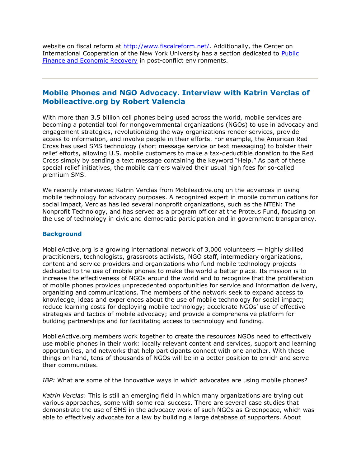website on fiscal reform at [http://www.fiscalreform.net/.](http://www.fiscalreform.net/) Additionally, the Center on International Cooperation of the New York University has a section dedicated to Public [Finance and Economic Recovery](http://www.cic.nyu.edu/peacebuilding/publicfinance.html) in post-conflict environments.

#### **Mobile Phones and NGO Advocacy. Interview with Katrin Verclas of Mobileactive.org by Robert Valencia**

With more than 3.5 billion cell phones being used across the world, mobile services are becoming a potential tool for nongovernmental organizations (NGOs) to use in advocacy and engagement strategies, revolutionizing the way organizations render services, provide access to information, and involve people in their efforts. For example, the American Red Cross has used SMS technology (short message service or text messaging) to bolster their relief efforts, allowing U.S. mobile customers to make a tax-deductible donation to the Red Cross simply by sending a text message containing the keyword "Help." As part of these special relief initiatives, the mobile carriers waived their usual high fees for so-called premium SMS.

We recently interviewed Katrin Verclas from Mobileactive.org on the advances in using mobile technology for advocacy purposes. A recognized expert in mobile communications for social impact, Verclas has led several nonprofit organizations, such as the NTEN: The Nonprofit Technology, and has served as a program officer at the Proteus Fund, focusing on the use of technology in civic and democratic participation and in government transparency.

#### **Background**

MobileActive.org is a growing international network of 3,000 volunteers — highly skilled practitioners, technologists, grassroots activists, NGO staff, intermediary organizations, content and service providers and organizations who fund mobile technology projects dedicated to the use of mobile phones to make the world a better place. Its mission is to increase the effectiveness of NGOs around the world and to recognize that the proliferation of mobile phones provides unprecedented opportunities for service and information delivery, organizing and communications. The members of the network seek to expand access to knowledge, ideas and experiences about the use of mobile technology for social impact; reduce learning costs for deploying mobile technology; accelerate NGOs" use of effective strategies and tactics of mobile advocacy; and provide a comprehensive platform for building partnerships and for facilitating access to technology and funding.

MobileActive.org members work together to create the resources NGOs need to effectively use mobile phones in their work: locally relevant content and services, support and learning opportunities, and networks that help participants connect with one another. With these things on hand, tens of thousands of NGOs will be in a better position to enrich and serve their communities.

*IBP:* What are some of the innovative ways in which advocates are using mobile phones?

*Katrin Verclas*: This is still an emerging field in which many organizations are trying out various approaches, some with some real success. There are several case studies that demonstrate the use of SMS in the advocacy work of such NGOs as Greenpeace, which was able to effectively advocate for a law by building a large database of supporters. About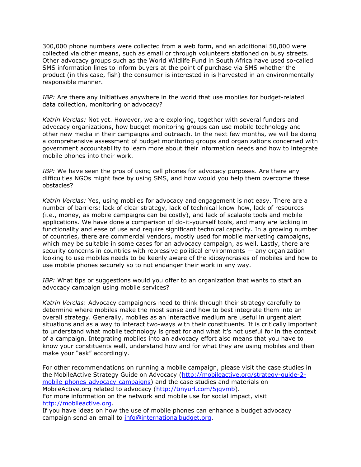300,000 phone numbers were collected from a web form, and an additional 50,000 were collected via other means, such as email or through volunteers stationed on busy streets. Other advocacy groups such as the World Wildlife Fund in South Africa have used so-called SMS information lines to inform buyers at the point of purchase via SMS whether the product (in this case, fish) the consumer is interested in is harvested in an environmentally responsible manner.

*IBP:* Are there any initiatives anywhere in the world that use mobiles for budget-related data collection, monitoring or advocacy?

*Katrin Verclas:* Not yet. However, we are exploring, together with several funders and advocacy organizations, how budget monitoring groups can use mobile technology and other new media in their campaigns and outreach. In the next few months, we will be doing a comprehensive assessment of budget monitoring groups and organizations concerned with government accountability to learn more about their information needs and how to integrate mobile phones into their work.

*IBP:* We have seen the pros of using cell phones for advocacy purposes. Are there any difficulties NGOs might face by using SMS, and how would you help them overcome these obstacles?

*Katrin Verclas:* Yes, using mobiles for advocacy and engagement is not easy. There are a number of barriers: lack of clear strategy, lack of technical know-how, lack of resources (i.e., money, as mobile campaigns can be costly), and lack of scalable tools and mobile applications. We have done a comparison of do-it-yourself tools, and many are lacking in functionality and ease of use and require significant technical capacity. In a growing number of countries, there are commercial vendors, mostly used for mobile marketing campaigns, which may be suitable in some cases for an advocacy campaign, as well. Lastly, there are security concerns in countries with repressive political environments — any organization looking to use mobiles needs to be keenly aware of the idiosyncrasies of mobiles and how to use mobile phones securely so to not endanger their work in any way.

*IBP:* What tips or suggestions would you offer to an organization that wants to start an advocacy campaign using mobile services?

*Katrin Verclas*: Advocacy campaigners need to think through their strategy carefully to determine where mobiles make the most sense and how to best integrate them into an overall strategy. Generally, mobiles as an interactive medium are useful in urgent alert situations and as a way to interact two-ways with their constituents. It is critically important to understand what mobile technology is great for and what it's not useful for in the context of a campaign. Integrating mobiles into an advocacy effort also means that you have to know your constituents well, understand how and for what they are using mobiles and then make your "ask" accordingly.

For other recommendations on running a mobile campaign, please visit the case studies in the MobileActive Strategy Guide on Advocacy [\(http://mobileactive.org/strategy-guide-2](http://mobileactive.org/strategy-guide-2-mobile-phones-advocacy-campaigns) [mobile-phones-advocacy-campaigns\)](http://mobileactive.org/strategy-guide-2-mobile-phones-advocacy-campaigns) and the case studies and materials on MobileActive.org related to advocacy [\(http://tinyurl.com/5jqvmb\)](http://tinyurl.com/5jqvmb). For more information on the network and mobile use for social impact, visit [http://mobileactive.org.](http://mobileactive.org/)

If you have ideas on how the use of mobile phones can enhance a budget advocacy campaign send an email to [info@internationalbudget.org.](mailto:info@internationalbudget.org)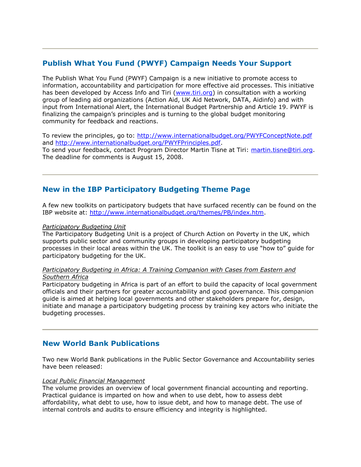### **Publish What You Fund (PWYF) Campaign Needs Your Support**

The Publish What You Fund (PWYF) Campaign is a new initiative to promote access to information, accountability and participation for more effective aid processes. This initiative has been developed by Access Info and Tiri [\(www.tiri.org\)](http://www.tiri.org/) in consultation with a working group of leading aid organizations (Action Aid, UK Aid Network, DATA, Aidinfo) and with input from International Alert, the International Budget Partnership and Article 19. PWYF is finalizing the campaign"s principles and is turning to the global budget monitoring community for feedback and reactions.

To review the principles, go to:<http://www.internationalbudget.org/PWYFConceptNote.pdf> and [http://www.internationalbudget.org/PWYFPrinciples.pdf.](http://www.internationalbudget.org/PWYFPrinciples.pdf) To send your feedback, contact Program Director Martin Tisne at Tiri: [martin.tisne@tiri.org.](mailto:martin.tisne@tiri.org) The deadline for comments is August 15, 2008.

### **New in the IBP Participatory Budgeting Theme Page**

A few new toolkits on participatory budgets that have surfaced recently can be found on the IBP website at: [http://www.internationalbudget.org/themes/PB/index.htm.](http://www.internationalbudget.org/themes/PB/index.htm)

#### *[Participatory Budgeting Unit](http://www.participatorybudgeting.org.uk/toolkit)*

The Participatory Budgeting Unit is a project of Church Action on Poverty in the UK, which supports public sector and community groups in developing participatory budgeting processes in their local areas within the UK. The toolkit is an easy to use "how to" guide for participatory budgeting for the UK.

#### *[Participatory Budgeting in Africa: A Training Companion with Cases from Eastern and](http://www.eldis.org/go/topics/resource-guides/manuals-and-toolkits&id=37111&type=Document)  [Southern Africa](http://www.eldis.org/go/topics/resource-guides/manuals-and-toolkits&id=37111&type=Document)*

Participatory budgeting in Africa is part of an effort to build the capacity of local government officials and their partners for greater accountability and good governance. This companion guide is aimed at helping local governments and other stakeholders prepare for, design, initiate and manage a participatory budgeting process by training key actors who initiate the budgeting processes.

#### **New World Bank Publications**

Two new World Bank publications in the Public Sector Governance and Accountability series have been released:

#### *[Local Public Financial Management](http://siteresources.worldbank.org/PSGLP/Resources/LocalPublicFinancialManagement.pdf)*

The volume provides an overview of local government financial accounting and reporting. Practical guidance is imparted on how and when to use debt, how to assess debt affordability, what debt to use, how to issue debt, and how to manage debt. The use of internal controls and audits to ensure efficiency and integrity is highlighted.